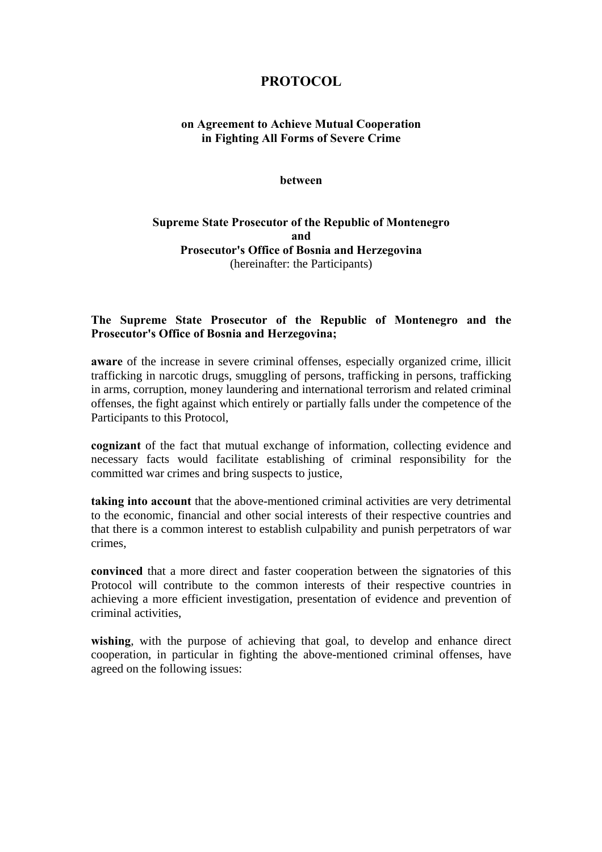# **PROTOCOL**

# **on Agreement to Achieve Mutual Cooperation in Fighting All Forms of Severe Crime**

#### **between**

# **Supreme State Prosecutor of the Republic of Montenegro and Prosecutor's Office of Bosnia and Herzegovina**  (hereinafter: the Participants)

# **The Supreme State Prosecutor of the Republic of Montenegro and the Prosecutor's Office of Bosnia and Herzegovina;**

**aware** of the increase in severe criminal offenses, especially organized crime, illicit trafficking in narcotic drugs, smuggling of persons, trafficking in persons, trafficking in arms, corruption, money laundering and international terrorism and related criminal offenses, the fight against which entirely or partially falls under the competence of the Participants to this Protocol,

**cognizant** of the fact that mutual exchange of information, collecting evidence and necessary facts would facilitate establishing of criminal responsibility for the committed war crimes and bring suspects to justice,

**taking into account** that the above-mentioned criminal activities are very detrimental to the economic, financial and other social interests of their respective countries and that there is a common interest to establish culpability and punish perpetrators of war crimes,

**convinced** that a more direct and faster cooperation between the signatories of this Protocol will contribute to the common interests of their respective countries in achieving a more efficient investigation, presentation of evidence and prevention of criminal activities,

wishing, with the purpose of achieving that goal, to develop and enhance direct cooperation, in particular in fighting the above-mentioned criminal offenses, have agreed on the following issues: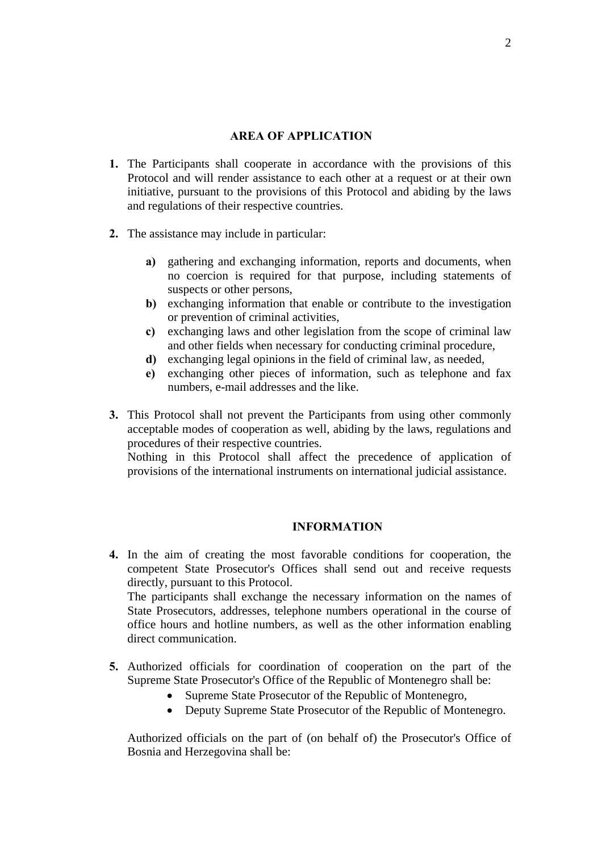### **AREA OF APPLICATION**

- **1.** The Participants shall cooperate in accordance with the provisions of this Protocol and will render assistance to each other at a request or at their own initiative, pursuant to the provisions of this Protocol and abiding by the laws and regulations of their respective countries.
- **2.** The assistance may include in particular:
	- **a)** gathering and exchanging information, reports and documents, when no coercion is required for that purpose, including statements of suspects or other persons,
	- **b)** exchanging information that enable or contribute to the investigation or prevention of criminal activities,
	- **c)** exchanging laws and other legislation from the scope of criminal law and other fields when necessary for conducting criminal procedure,
	- **d)** exchanging legal opinions in the field of criminal law, as needed,
	- **e)** exchanging other pieces of information, such as telephone and fax numbers, e-mail addresses and the like.
- **3.** This Protocol shall not prevent the Participants from using other commonly acceptable modes of cooperation as well, abiding by the laws, regulations and procedures of their respective countries.

Nothing in this Protocol shall affect the precedence of application of provisions of the international instruments on international judicial assistance.

### **INFORMATION**

**4.** In the aim of creating the most favorable conditions for cooperation, the competent State Prosecutor's Offices shall send out and receive requests directly, pursuant to this Protocol.

The participants shall exchange the necessary information on the names of State Prosecutors, addresses, telephone numbers operational in the course of office hours and hotline numbers, as well as the other information enabling direct communication.

- **5.** Authorized officials for coordination of cooperation on the part of the Supreme State Prosecutor's Office of the Republic of Montenegro shall be:
	- Supreme State Prosecutor of the Republic of Montenegro,
	- Deputy Supreme State Prosecutor of the Republic of Montenegro.

Authorized officials on the part of (on behalf of) the Prosecutor's Office of Bosnia and Herzegovina shall be: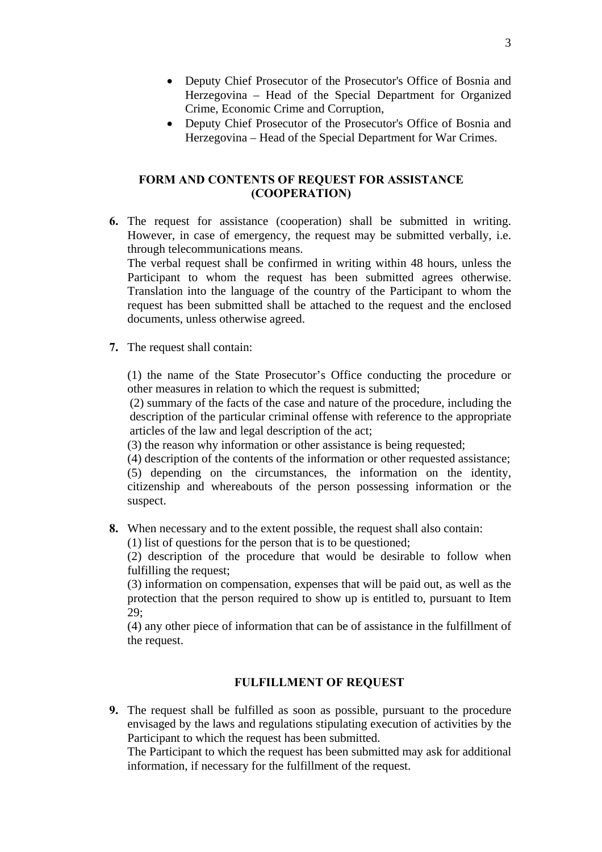- Deputy Chief Prosecutor of the Prosecutor's Office of Bosnia and Herzegovina – Head of the Special Department for Organized Crime, Economic Crime and Corruption,
- Deputy Chief Prosecutor of the Prosecutor's Office of Bosnia and Herzegovina – Head of the Special Department for War Crimes.

### **FORM AND CONTENTS OF REQUEST FOR ASSISTANCE (COOPERATION)**

**6.** The request for assistance (cooperation) shall be submitted in writing. However, in case of emergency, the request may be submitted verbally, i.e. through telecommunications means.

The verbal request shall be confirmed in writing within 48 hours, unless the Participant to whom the request has been submitted agrees otherwise. Translation into the language of the country of the Participant to whom the request has been submitted shall be attached to the request and the enclosed documents, unless otherwise agreed.

**7.** The request shall contain:

(1) the name of the State Prosecutor's Office conducting the procedure or other measures in relation to which the request is submitted;

(2) summary of the facts of the case and nature of the procedure, including the description of the particular criminal offense with reference to the appropriate articles of the law and legal description of the act;

(3) the reason why information or other assistance is being requested;

(4) description of the contents of the information or other requested assistance;

(5) depending on the circumstances, the information on the identity, citizenship and whereabouts of the person possessing information or the suspect.

**8.** When necessary and to the extent possible, the request shall also contain:

(1) list of questions for the person that is to be questioned;

(2) description of the procedure that would be desirable to follow when fulfilling the request;

(3) information on compensation, expenses that will be paid out, as well as the protection that the person required to show up is entitled to, pursuant to Item 29;

(4) any other piece of information that can be of assistance in the fulfillment of the request.

### **FULFILLMENT OF REQUEST**

**9.** The request shall be fulfilled as soon as possible, pursuant to the procedure envisaged by the laws and regulations stipulating execution of activities by the Participant to which the request has been submitted.

The Participant to which the request has been submitted may ask for additional information, if necessary for the fulfillment of the request.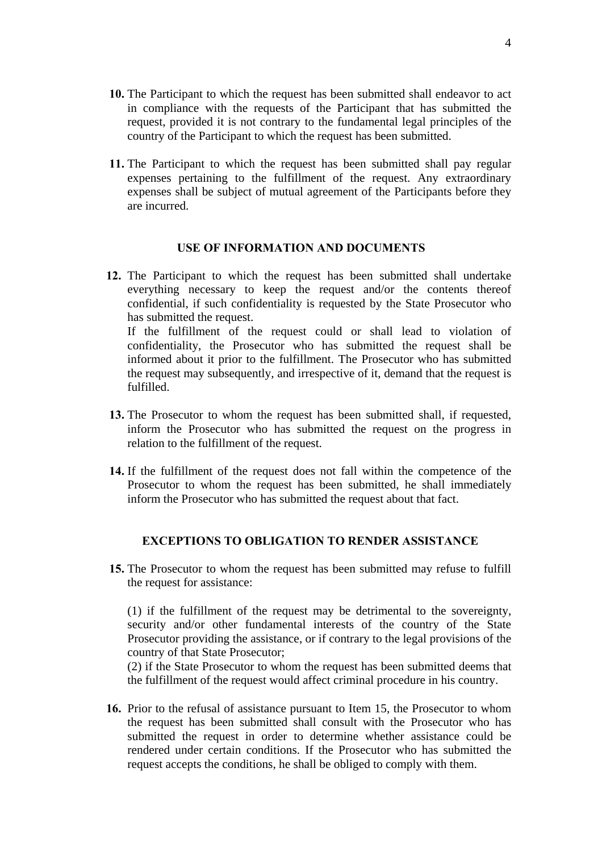- **10.** The Participant to which the request has been submitted shall endeavor to act in compliance with the requests of the Participant that has submitted the request, provided it is not contrary to the fundamental legal principles of the country of the Participant to which the request has been submitted.
- **11.** The Participant to which the request has been submitted shall pay regular expenses pertaining to the fulfillment of the request. Any extraordinary expenses shall be subject of mutual agreement of the Participants before they are incurred.

#### **USE OF INFORMATION AND DOCUMENTS**

- **12.** The Participant to which the request has been submitted shall undertake everything necessary to keep the request and/or the contents thereof confidential, if such confidentiality is requested by the State Prosecutor who has submitted the request. If the fulfillment of the request could or shall lead to violation of confidentiality, the Prosecutor who has submitted the request shall be informed about it prior to the fulfillment. The Prosecutor who has submitted the request may subsequently, and irrespective of it, demand that the request is fulfilled.
- **13.** The Prosecutor to whom the request has been submitted shall, if requested, inform the Prosecutor who has submitted the request on the progress in relation to the fulfillment of the request.
- **14.** If the fulfillment of the request does not fall within the competence of the Prosecutor to whom the request has been submitted, he shall immediately inform the Prosecutor who has submitted the request about that fact.

### **EXCEPTIONS TO OBLIGATION TO RENDER ASSISTANCE**

**15.** The Prosecutor to whom the request has been submitted may refuse to fulfill the request for assistance:

(1) if the fulfillment of the request may be detrimental to the sovereignty, security and/or other fundamental interests of the country of the State Prosecutor providing the assistance, or if contrary to the legal provisions of the country of that State Prosecutor;

(2) if the State Prosecutor to whom the request has been submitted deems that the fulfillment of the request would affect criminal procedure in his country.

**16.** Prior to the refusal of assistance pursuant to Item 15, the Prosecutor to whom the request has been submitted shall consult with the Prosecutor who has submitted the request in order to determine whether assistance could be rendered under certain conditions. If the Prosecutor who has submitted the request accepts the conditions, he shall be obliged to comply with them.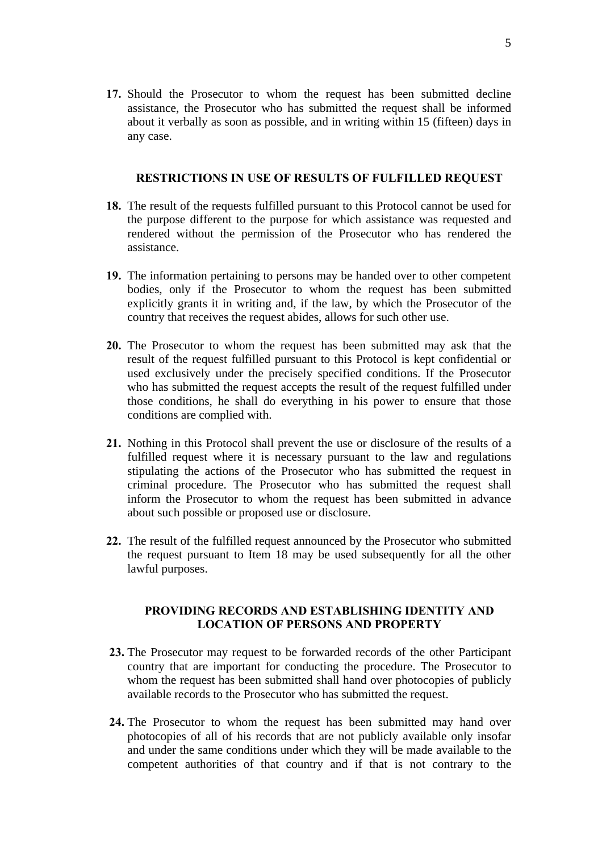**17.** Should the Prosecutor to whom the request has been submitted decline assistance, the Prosecutor who has submitted the request shall be informed about it verbally as soon as possible, and in writing within 15 (fifteen) days in any case.

#### **RESTRICTIONS IN USE OF RESULTS OF FULFILLED REQUEST**

- **18.** The result of the requests fulfilled pursuant to this Protocol cannot be used for the purpose different to the purpose for which assistance was requested and rendered without the permission of the Prosecutor who has rendered the assistance.
- **19.** The information pertaining to persons may be handed over to other competent bodies, only if the Prosecutor to whom the request has been submitted explicitly grants it in writing and, if the law, by which the Prosecutor of the country that receives the request abides, allows for such other use.
- **20.** The Prosecutor to whom the request has been submitted may ask that the result of the request fulfilled pursuant to this Protocol is kept confidential or used exclusively under the precisely specified conditions. If the Prosecutor who has submitted the request accepts the result of the request fulfilled under those conditions, he shall do everything in his power to ensure that those conditions are complied with.
- **21.** Nothing in this Protocol shall prevent the use or disclosure of the results of a fulfilled request where it is necessary pursuant to the law and regulations stipulating the actions of the Prosecutor who has submitted the request in criminal procedure. The Prosecutor who has submitted the request shall inform the Prosecutor to whom the request has been submitted in advance about such possible or proposed use or disclosure.
- **22.** The result of the fulfilled request announced by the Prosecutor who submitted the request pursuant to Item 18 may be used subsequently for all the other lawful purposes.

### **PROVIDING RECORDS AND ESTABLISHING IDENTITY AND LOCATION OF PERSONS AND PROPERTY**

- **23.** The Prosecutor may request to be forwarded records of the other Participant country that are important for conducting the procedure. The Prosecutor to whom the request has been submitted shall hand over photocopies of publicly available records to the Prosecutor who has submitted the request.
- **24.** The Prosecutor to whom the request has been submitted may hand over photocopies of all of his records that are not publicly available only insofar and under the same conditions under which they will be made available to the competent authorities of that country and if that is not contrary to the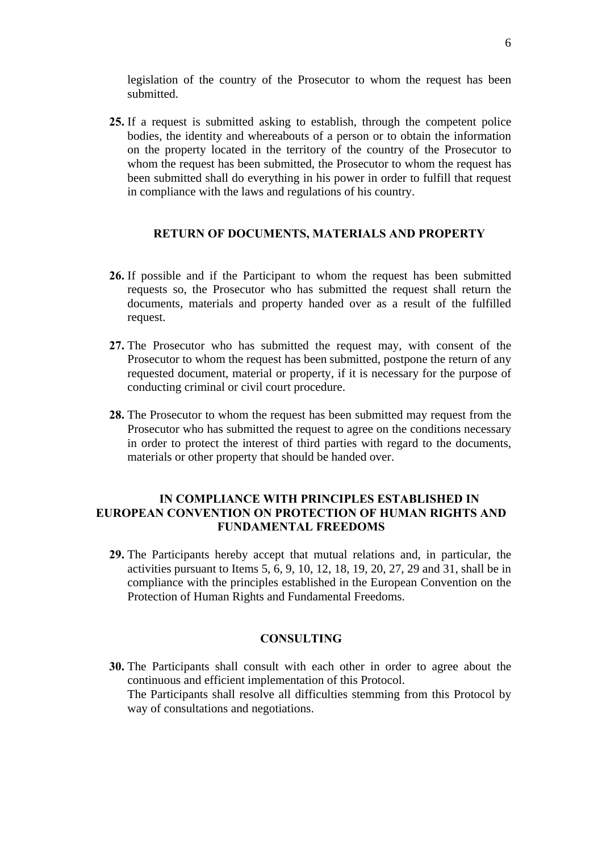legislation of the country of the Prosecutor to whom the request has been submitted.

**25.** If a request is submitted asking to establish, through the competent police bodies, the identity and whereabouts of a person or to obtain the information on the property located in the territory of the country of the Prosecutor to whom the request has been submitted, the Prosecutor to whom the request has been submitted shall do everything in his power in order to fulfill that request in compliance with the laws and regulations of his country.

#### **RETURN OF DOCUMENTS, MATERIALS AND PROPERTY**

- **26.** If possible and if the Participant to whom the request has been submitted requests so, the Prosecutor who has submitted the request shall return the documents, materials and property handed over as a result of the fulfilled request.
- **27.** The Prosecutor who has submitted the request may, with consent of the Prosecutor to whom the request has been submitted, postpone the return of any requested document, material or property, if it is necessary for the purpose of conducting criminal or civil court procedure.
- **28.** The Prosecutor to whom the request has been submitted may request from the Prosecutor who has submitted the request to agree on the conditions necessary in order to protect the interest of third parties with regard to the documents, materials or other property that should be handed over.

# **IN COMPLIANCE WITH PRINCIPLES ESTABLISHED IN EUROPEAN CONVENTION ON PROTECTION OF HUMAN RIGHTS AND FUNDAMENTAL FREEDOMS**

**29.** The Participants hereby accept that mutual relations and, in particular, the activities pursuant to Items 5, 6, 9, 10, 12, 18, 19, 20, 27, 29 and 31, shall be in compliance with the principles established in the European Convention on the Protection of Human Rights and Fundamental Freedoms.

### **CONSULTING**

**30.** The Participants shall consult with each other in order to agree about the continuous and efficient implementation of this Protocol. The Participants shall resolve all difficulties stemming from this Protocol by way of consultations and negotiations.